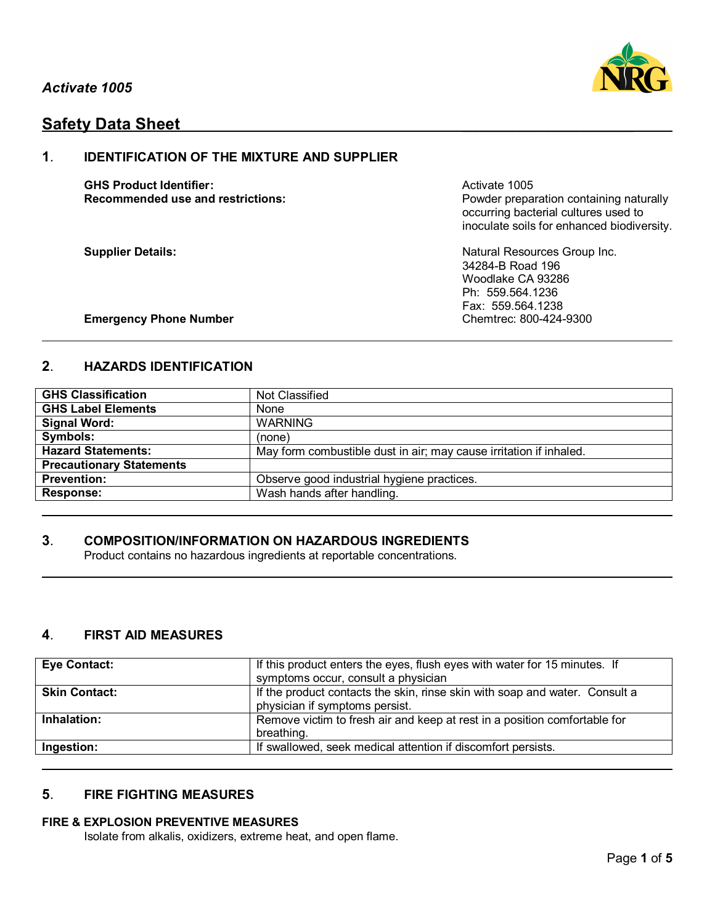

# **Safety Data Sheet**

## **1**. **IDENTIFICATION OF THE MIXTURE AND SUPPLIER**

**GHS Product Identifier:** Activate 1005

**Recommended use and restrictions: Powder preparation containing naturally** occurring bacterial cultures used to inoculate soils for enhanced biodiversity.

**Supplier Details:** Natural Resources Group Inc. 34284-B Road 196 Woodlake CA 93286 Ph: 559.564.1236 Fax: 559.564.1238

### **Emergency Phone Number Chemtrec: 800-424-9300**

## **2**. **HAZARDS IDENTIFICATION**

| <b>GHS Classification</b>       | Not Classified                                                     |  |
|---------------------------------|--------------------------------------------------------------------|--|
| <b>GHS Label Elements</b>       | None                                                               |  |
| <b>Signal Word:</b>             | <b>WARNING</b>                                                     |  |
| Symbols:                        | (none)                                                             |  |
| <b>Hazard Statements:</b>       | May form combustible dust in air; may cause irritation if inhaled. |  |
| <b>Precautionary Statements</b> |                                                                    |  |
| <b>Prevention:</b>              | Observe good industrial hygiene practices.                         |  |
| <b>Response:</b>                | Wash hands after handling.                                         |  |

## **3**. **COMPOSITION/INFORMATION ON HAZARDOUS INGREDIENTS**

Product contains no hazardous ingredients at reportable concentrations.

## **4**. **FIRST AID MEASURES**

| <b>Eye Contact:</b>  | If this product enters the eyes, flush eyes with water for 15 minutes. If<br>symptoms occur, consult a physician |
|----------------------|------------------------------------------------------------------------------------------------------------------|
| <b>Skin Contact:</b> | If the product contacts the skin, rinse skin with soap and water. Consult a<br>physician if symptoms persist.    |
| Inhalation:          | Remove victim to fresh air and keep at rest in a position comfortable for<br>breathing.                          |
| Ingestion:           | If swallowed, seek medical attention if discomfort persists.                                                     |

## **5**. **FIRE FIGHTING MEASURES**

### **FIRE & EXPLOSION PREVENTIVE MEASURES**

Isolate from alkalis, oxidizers, extreme heat, and open flame.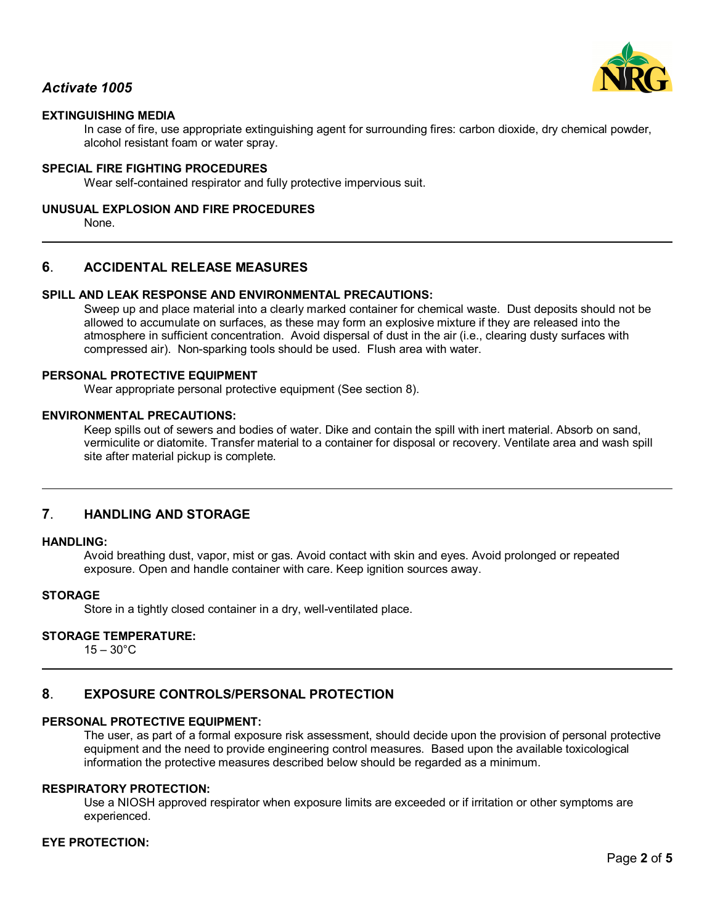

## *Activate 1005*

## **EXTINGUISHING MEDIA**

In case of fire, use appropriate extinguishing agent for surrounding fires: carbon dioxide, dry chemical powder, alcohol resistant foam or water spray.

#### **SPECIAL FIRE FIGHTING PROCEDURES**

Wear self-contained respirator and fully protective impervious suit.

#### **UNUSUAL EXPLOSION AND FIRE PROCEDURES**

None.

### **6**. **ACCIDENTAL RELEASE MEASURES**

### **SPILL AND LEAK RESPONSE AND ENVIRONMENTAL PRECAUTIONS:**

Sweep up and place material into a clearly marked container for chemical waste. Dust deposits should not be allowed to accumulate on surfaces, as these may form an explosive mixture if they are released into the atmosphere in sufficient concentration. Avoid dispersal of dust in the air (i.e., clearing dusty surfaces with compressed air). Non-sparking tools should be used. Flush area with water.

#### **PERSONAL PROTECTIVE EQUIPMENT**

Wear appropriate personal protective equipment (See section 8).

#### **ENVIRONMENTAL PRECAUTIONS:**

Keep spills out of sewers and bodies of water. Dike and contain the spill with inert material. Absorb on sand, vermiculite or diatomite. Transfer material to a container for disposal or recovery. Ventilate area and wash spill site after material pickup is complete.

#### **7**. **HANDLING AND STORAGE**

#### **HANDLING:**

Avoid breathing dust, vapor, mist or gas. Avoid contact with skin and eyes. Avoid prolonged or repeated exposure. Open and handle container with care. Keep ignition sources away.

#### **STORAGE**

Store in a tightly closed container in a dry, well-ventilated place.

### **STORAGE TEMPERATURE:**

 $15 - 30^{\circ}$ C

### **8**. **EXPOSURE CONTROLS/PERSONAL PROTECTION**

#### **PERSONAL PROTECTIVE EQUIPMENT:**

The user, as part of a formal exposure risk assessment, should decide upon the provision of personal protective equipment and the need to provide engineering control measures. Based upon the available toxicological information the protective measures described below should be regarded as a minimum.

#### **RESPIRATORY PROTECTION:**

Use a NIOSH approved respirator when exposure limits are exceeded or if irritation or other symptoms are experienced.

### **EYE PROTECTION:**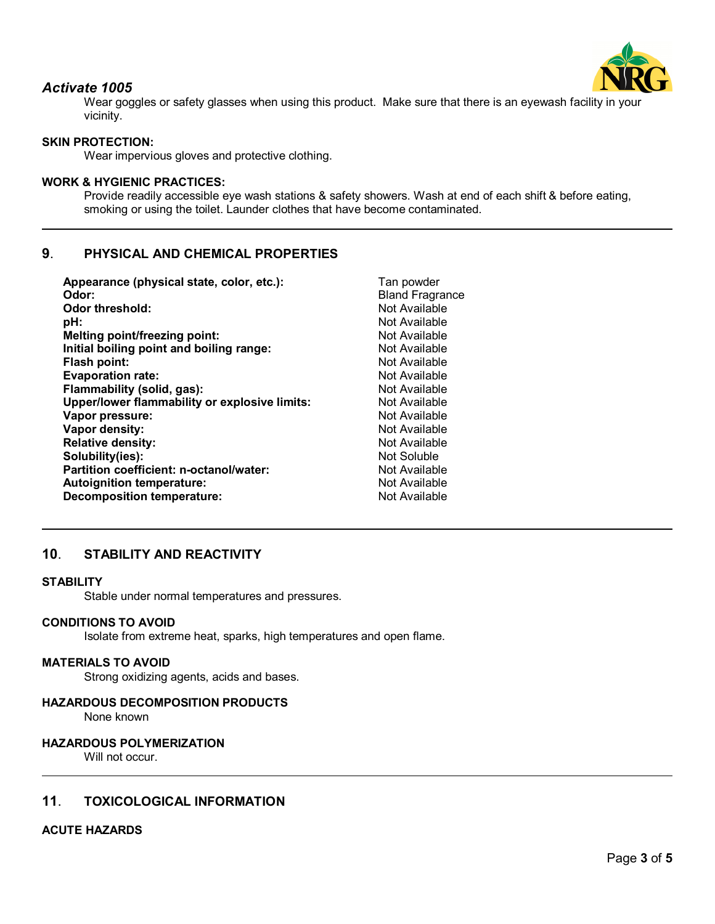

## *Activate 1005*

Wear goggles or safety glasses when using this product. Make sure that there is an eyewash facility in your vicinity.

## **SKIN PROTECTION:**

Wear impervious gloves and protective clothing.

### **WORK & HYGIENIC PRACTICES:**

Provide readily accessible eye wash stations & safety showers. Wash at end of each shift & before eating, smoking or using the toilet. Launder clothes that have become contaminated.

## **9**. **PHYSICAL AND CHEMICAL PROPERTIES**

| Appearance (physical state, color, etc.):     | Tan powder             |
|-----------------------------------------------|------------------------|
| Odor:                                         | <b>Bland Fragrance</b> |
| <b>Odor threshold:</b>                        | Not Available          |
| pH:                                           | Not Available          |
| Melting point/freezing point:                 | Not Available          |
| Initial boiling point and boiling range:      | Not Available          |
| Flash point:                                  | Not Available          |
| <b>Evaporation rate:</b>                      | Not Available          |
| Flammability (solid, gas):                    | Not Available          |
| Upper/lower flammability or explosive limits: | Not Available          |
| Vapor pressure:                               | Not Available          |
| Vapor density:                                | Not Available          |
| <b>Relative density:</b>                      | Not Available          |
| Solubility(ies):                              | Not Soluble            |
| Partition coefficient: n-octanol/water:       | Not Available          |
| <b>Autoignition temperature:</b>              | Not Available          |
| <b>Decomposition temperature:</b>             | Not Available          |
|                                               |                        |

## **10**. **STABILITY AND REACTIVITY**

#### **STABILITY**

Stable under normal temperatures and pressures.

#### **CONDITIONS TO AVOID**

Isolate from extreme heat, sparks, high temperatures and open flame.

#### **MATERIALS TO AVOID**

Strong oxidizing agents, acids and bases.

#### **HAZARDOUS DECOMPOSITION PRODUCTS**

None known

#### **HAZARDOUS POLYMERIZATION**

Will not occur.

### **11**. **TOXICOLOGICAL INFORMATION**

#### **ACUTE HAZARDS**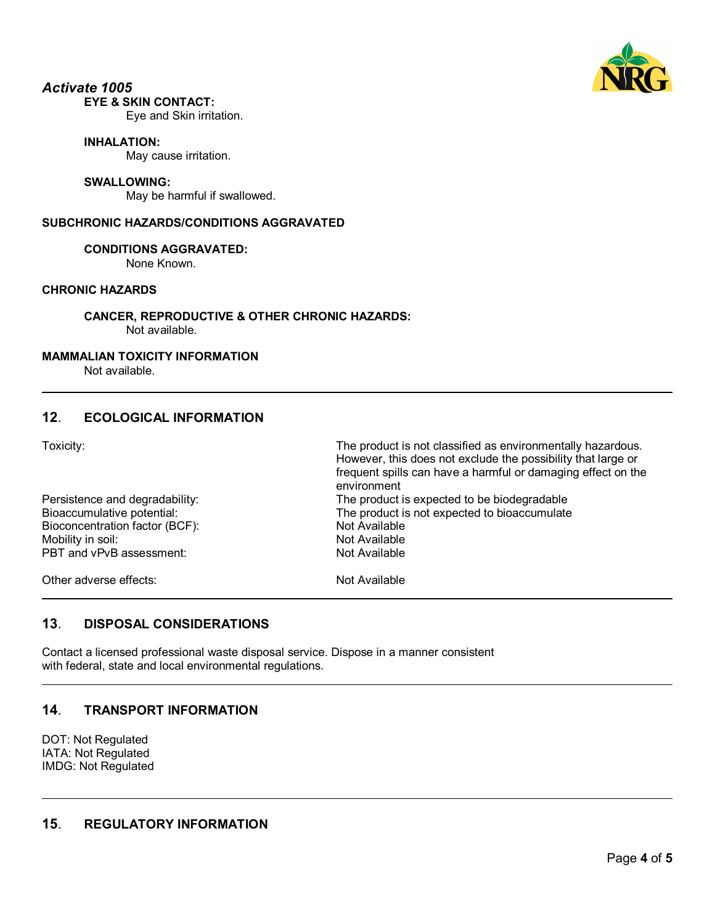

#### *Activate 1005* **EYE & SKIN CONTACT:**

Eye and Skin irritation.

### **INHALATION:**

May cause irritation.

#### **SWALLOWING:**

May be harmful if swallowed.

### **SUBCHRONIC HAZARDS/CONDITIONS AGGRAVATED**

### **CONDITIONS AGGRAVATED:**

None Known.

## **CHRONIC HAZARDS**

**CANCER, REPRODUCTIVE & OTHER CHRONIC HAZARDS:** Not available.

### **MAMMALIAN TOXICITY INFORMATION**

Not available.

## **12**. **ECOLOGICAL INFORMATION**

Toxicity: The product is not classified as environmentally hazardous.

|                                | However, this does not exclude the possibility that large or<br>frequent spills can have a harmful or damaging effect on the<br>environment |
|--------------------------------|---------------------------------------------------------------------------------------------------------------------------------------------|
| Persistence and degradability: | The product is expected to be biodegradable                                                                                                 |
| Bioaccumulative potential:     | The product is not expected to bioaccumulate                                                                                                |
| Bioconcentration factor (BCF): | Not Available                                                                                                                               |
| Mobility in soil:              | Not Available                                                                                                                               |
| PBT and vPvB assessment:       | Not Available                                                                                                                               |
| Other adverse effects:         | Not Available                                                                                                                               |

## **13**. **DISPOSAL CONSIDERATIONS**

Contact a licensed professional waste disposal service. Dispose in a manner consistent with federal, state and local environmental regulations.

## **14**. **TRANSPORT INFORMATION**

DOT: Not Regulated IATA: Not Regulated IMDG: Not Regulated